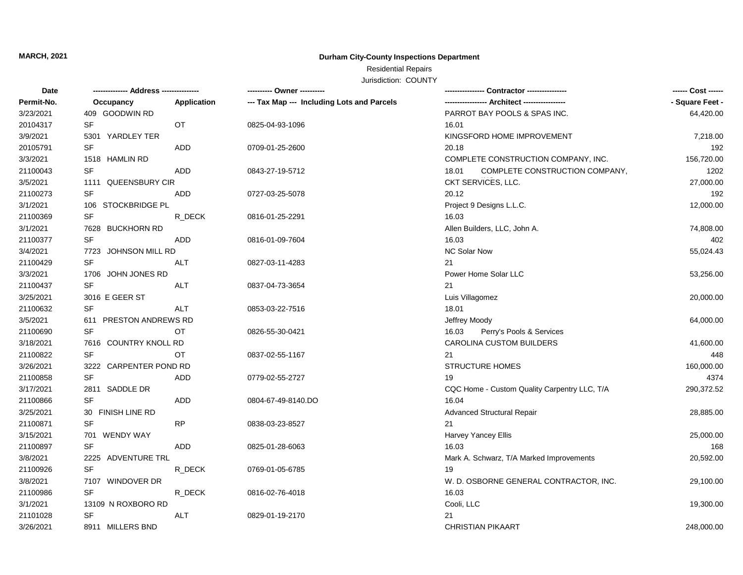# **MARCH, 2021**

### **Durham City-County Inspections Department**

## Residential Repairs

Jurisdiction: COUNTY

| Date       |                        |             | ---------- Owner ----------                |                                              | ------ Cost ------ |
|------------|------------------------|-------------|--------------------------------------------|----------------------------------------------|--------------------|
| Permit-No. | Occupancy              | Application | --- Tax Map --- Including Lots and Parcels |                                              | - Square Feet -    |
| 3/23/2021  | 409 GOODWIN RD         |             |                                            | PARROT BAY POOLS & SPAS INC.                 | 64,420.00          |
| 20104317   | SF                     | OT          | 0825-04-93-1096                            | 16.01                                        |                    |
| 3/9/2021   | 5301 YARDLEY TER       |             |                                            | KINGSFORD HOME IMPROVEMENT                   | 7,218.00           |
| 20105791   | <b>SF</b>              | <b>ADD</b>  | 0709-01-25-2600                            | 20.18                                        | 192                |
| 3/3/2021   | 1518 HAMLIN RD         |             |                                            | COMPLETE CONSTRUCTION COMPANY, INC.          | 156,720.00         |
| 21100043   | SF                     | ADD         | 0843-27-19-5712                            | 18.01<br>COMPLETE CONSTRUCTION COMPANY,      | 1202               |
| 3/5/2021   | 1111 QUEENSBURY CIR    |             |                                            | CKT SERVICES, LLC.                           | 27,000.00          |
| 21100273   | SF                     | <b>ADD</b>  | 0727-03-25-5078                            | 20.12                                        | 192                |
| 3/1/2021   | 106 STOCKBRIDGE PL     |             |                                            | Project 9 Designs L.L.C.                     | 12,000.00          |
| 21100369   | <b>SF</b>              | R DECK      | 0816-01-25-2291                            | 16.03                                        |                    |
| 3/1/2021   | 7628 BUCKHORN RD       |             |                                            | Allen Builders, LLC, John A.                 | 74,808.00          |
| 21100377   | SF                     | <b>ADD</b>  | 0816-01-09-7604                            | 16.03                                        | 402                |
| 3/4/2021   | 7723 JOHNSON MILL RD   |             |                                            | NC Solar Now                                 | 55,024.43          |
| 21100429   | <b>SF</b>              | ALT         | 0827-03-11-4283                            | 21                                           |                    |
| 3/3/2021   | 1706 JOHN JONES RD     |             |                                            | Power Home Solar LLC                         | 53,256.00          |
| 21100437   | SF                     | ALT         | 0837-04-73-3654                            | 21                                           |                    |
| 3/25/2021  | 3016 E GEER ST         |             |                                            | Luis Villagomez                              | 20,000.00          |
| 21100632   | SF                     | <b>ALT</b>  | 0853-03-22-7516                            | 18.01                                        |                    |
| 3/5/2021   | 611 PRESTON ANDREWS RD |             |                                            | Jeffrey Moody                                | 64,000.00          |
| 21100690   | <b>SF</b>              | ОT          | 0826-55-30-0421                            | 16.03<br>Perry's Pools & Services            |                    |
| 3/18/2021  | 7616 COUNTRY KNOLL RD  |             |                                            | <b>CAROLINA CUSTOM BUILDERS</b>              | 41,600.00          |
| 21100822   | <b>SF</b>              | OT          | 0837-02-55-1167                            | 21                                           | 448                |
| 3/26/2021  | 3222 CARPENTER POND RD |             |                                            | <b>STRUCTURE HOMES</b>                       | 160,000.00         |
| 21100858   | <b>SF</b>              | <b>ADD</b>  | 0779-02-55-2727                            | 19                                           | 4374               |
| 3/17/2021  | 2811 SADDLE DR         |             |                                            | CQC Home - Custom Quality Carpentry LLC, T/A | 290,372.52         |
| 21100866   | <b>SF</b>              | ADD         | 0804-67-49-8140.DO                         | 16.04                                        |                    |
| 3/25/2021  | 30 FINISH LINE RD      |             |                                            | <b>Advanced Structural Repair</b>            | 28,885.00          |
| 21100871   | <b>SF</b>              | <b>RP</b>   | 0838-03-23-8527                            | 21                                           |                    |
| 3/15/2021  | 701 WENDY WAY          |             |                                            | Harvey Yancey Ellis                          | 25,000.00          |
| 21100897   | <b>SF</b>              | <b>ADD</b>  | 0825-01-28-6063                            | 16.03                                        | 168                |
| 3/8/2021   | 2225 ADVENTURE TRL     |             |                                            | Mark A. Schwarz, T/A Marked Improvements     | 20,592.00          |
| 21100926   | SF                     | R DECK      | 0769-01-05-6785                            | 19                                           |                    |
| 3/8/2021   | 7107 WINDOVER DR       |             |                                            | W. D. OSBORNE GENERAL CONTRACTOR, INC.       | 29,100.00          |
| 21100986   | <b>SF</b>              | R DECK      | 0816-02-76-4018                            | 16.03                                        |                    |
| 3/1/2021   | 13109 N ROXBORO RD     |             |                                            | Cooli, LLC                                   | 19,300.00          |
| 21101028   | SF                     | ALT         | 0829-01-19-2170                            | 21                                           |                    |
| 3/26/2021  | 8911 MILLERS BND       |             |                                            | <b>CHRISTIAN PIKAART</b>                     | 248,000.00         |